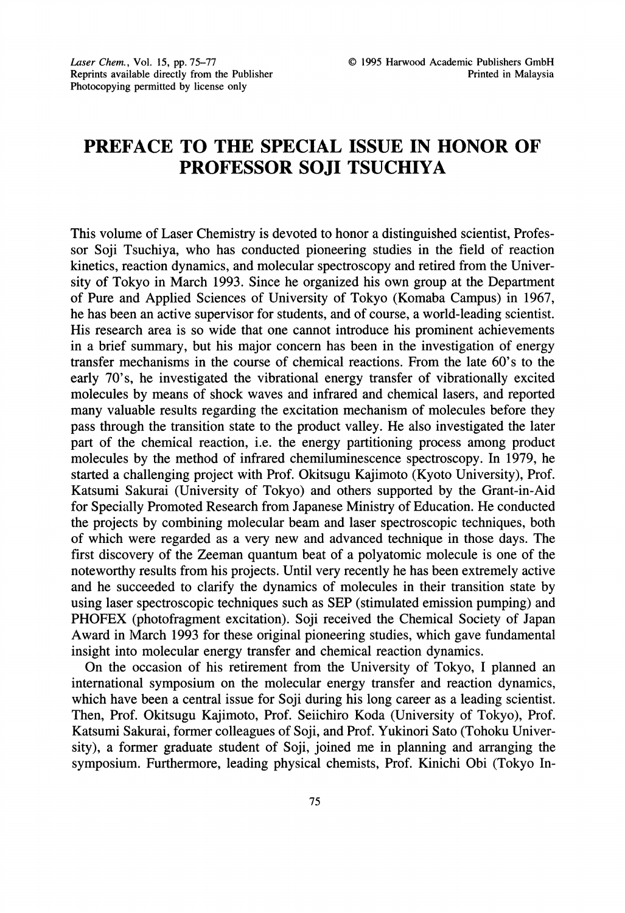## PREFACE TO THE SPECIAL ISSUE IN HONOR OF PROFESSOR SOJI TSUCHIYA

This volume of Laser Chemistry is devoted to honor a distinguished scientist, Professor Soji Tsuchiya, who has conducted pioneering studies in the field of reaction kinetics, reaction dynamics, and molecular spectroscopy and retired from the University of Tokyo in March 1993. Since he organized his own group at the Department of Pure and Applied Sciences of University of Tokyo (Komaba Campus) in 1967, he has been an active supervisor for students, and of course, a world-leading scientist. His research area is so wide that one cannot introduce his prominent achievements in a brief summary, but his major concern has been in the investigation of energy transfer mechanisms in the course of chemical reactions. From the late 60's to the early 70's, he investigated the vibrational energy transfer of vibrationally excited molecules by means of shock waves and infrared and chemical lasers, and reported many valuable results regarding the excitation mechanism of molecules before they pass through the transition state to the product valley. He also investigated the later part of the chemical reaction, i.e. the energy partitioning process among product molecules by the method of infrared chemiluminescence spectroscopy. In 1979, he started a challenging project with Prof. Okitsugu Kajimoto (Kyoto University), Prof. Katsumi Sakurai (University of Tokyo) and others supported by the Grant-in-Aid for Specially Promoted Research from Japanese Ministry of Education. He conducted the projects by combining molecular beam and laser spectroscopic techniques, both of which were regarded as a very new and advanced technique in those days. The first discovery of the Zeeman quantum beat of a polyatomic molecule is one of the noteworthy results from his projects. Until very recently he has been extremely active and he succeeded to clarify the dynamics of molecules in their transition state by using laser spectroscopic techniques such as SEP (stimulated emission pumping) and PHOFEX (photofragment excitation). Soji received the Chemical Society of Japan Award in March 1993 for these original pioneering studies, which gave fundamental insight into molecular energy transfer and chemical reaction dynamics.

On the occasion of his retirement from the University of Tokyo, <sup>I</sup> planned an international symposium on the molecular energy transfer and reaction dynamics, which have been a central issue for Soji during his long career as a leading scientist. Then, Prof. Okitsugu Kajimoto, Prof. Seiichiro Koda (University of Tokyo), Prof. Katsumi Sakurai, former colleagues of Soji, and Prof. Yukinori Sato (Tohoku University), a former graduate student of Soji, joined me in planning and arranging the symposium. Furthermore, leading physical chemists, Prof. Kinichi Obi (Tokyo In-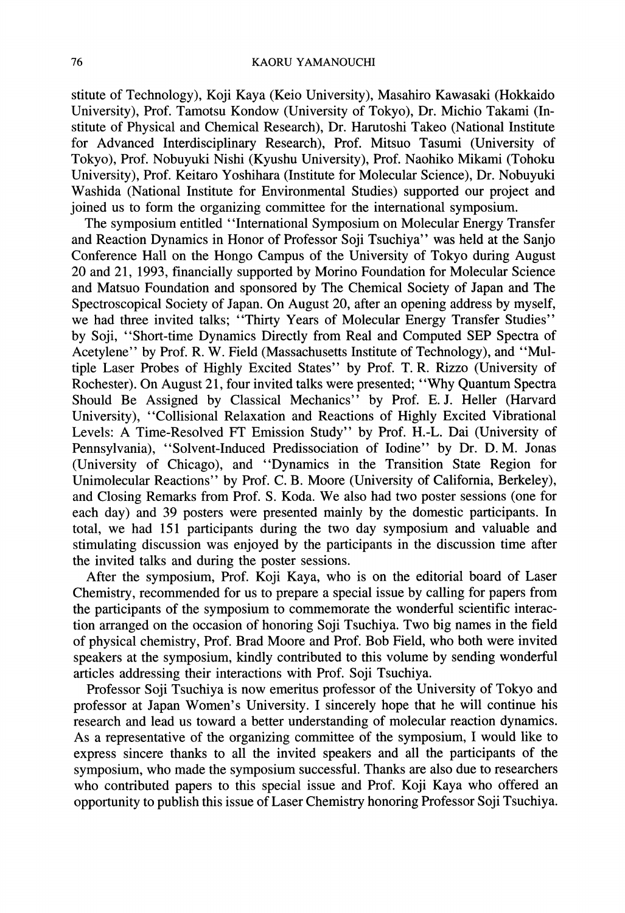stitute of Technology), Koji Kaya (Keio University), Masahiro Kawasaki (Hokkaido University), Prof. Tamotsu Kondow (University of Tokyo), Dr. Michio Takami (Institute of Physical and Chemical Research), Dr. Harutoshi Takeo (National Institute for Advanced Interdisciplinary Research), Prof. Mitsuo Tasumi (University of Tokyo), Prof. Nobuyuki Nishi (Kyushu University), Prof. Naohiko Mikami (Tohoku University), Prof. Keitaro Yoshihara (Institute for Molecular Science), Dr. Nobuyuki Washida (National Institute for Environmental Studies) supported our project and joined us to form the organizing committee for the international symposium.

The symposium entitled "International Symposium on Molecular Energy Transfer and Reaction Dynamics in Honor of Professor Soji Tsuchiya" was held at the Sanjo Conference Hall on the Hongo Campus of the University of Tokyo during August 20 and 21, 1993, financially supported by Morino Foundation for Molecular Science and Matsuo Foundation and sponsored by The Chemical Society of Japan and The Spectroscopical Society of Japan. On August 20, after an opening address by myself, we had three invited talks; "Thirty Years of Molecular Energy Transfer Studies" by Soji, "Short-time Dynamics Directly from Real and Computed SEP Spectra of Acetylene" by Prof. R. W. Field (Massachusetts Institute of Technology), and "Multiple Laser Probes of Highly Excited States" by Prof. T.R. Rizzo (University of Rochester). On August 21, four invited talks were presented; "Why Quantum Spectra Should Be Assigned by Classical Mechanics" by Prof. E.J. Heller (Harvard University), "Collisional Relaxation and Reactions of Highly Excited Vibrational Levels: A Time-Resolved FT Emission Study" by Prof. H.-L. Dai (University of Pennsylvania), "Solvent-Induced Predissociation of Iodine" by Dr. D.M. Jonas (University of Chicago), and "Dynamics in the Transition State Region for Unimolecular Reactions" by Prof. C. B. Moore (University of California, Berkeley), and Closing Remarks from Prof. S. Koda. We also had two poster sessions (one for each day) and 39 posters were presented mainly by the domestic participants. In total, we had 151 participants during the two day symposium and valuable and stimulating discussion was enjoyed by the participants in the discussion time after the invited talks and during the poster sessions.

After the symposium, Prof. Koji Kaya, who is on the editorial board of Laser Chemistry, recommended for us to prepare a special issue by calling for papers from the participants of the symposium to commemorate the wonderful scientific interaction arranged on the occasion of honoring Soji Tsuchiya. Two big names in the field of physical chemistry, Prof. Brad Moore and Prof. Bob Field, who both were invited speakers at the symposium, kindly contributed to this volume by sending wonderful articles addressing their interactions with Prof. Soji Tsuchiya.

Professor Soji Tsuchiya is now emeritus professor of the University of Tokyo and professor at Japan Women's University. <sup>I</sup> sincerely hope that he will continue his research and lead us toward a better understanding of molecular reaction dynamics. As a representative of the organizing committee of the symposium, <sup>I</sup> would like to express sincere thanks to all the invited speakers and all the participants of the symposium, who made the symposium successful. Thanks are also due to researchers who contributed papers to this special issue and Prof. Koji Kaya who offered an opportunity to publish this issue of Laser Chemistry honoring Professor Soji Tsuchiya.